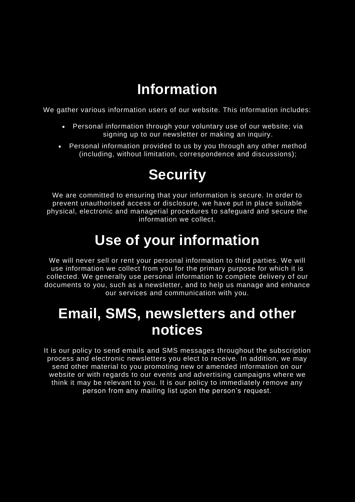### Information

We gather various information users of our website. This information includes:

- Personal information through your voluntary use of our website; via signing up to our newsletter or making an inquiry.
- Personal information provided to us by you through any other method (including, without limitation, correspondence and discussions);

# **Security**

We are committed to ensuring that your information is secure. In order to prevent unauthorised access or disclosure, we have put in place suitable physical, electronic and managerial procedures to safeguard and secure the information we collect.

# Use of your information

We will never sell or rent your personal information to third parties. We will use information we collect from you for the primary purpose for which it is collected. We generally use personal information to complete delivery of our documents to you, such as a newsletter, and to help us manage and enhance our services and communication with you.

### Email, SMS, newsletters and other notices

It is our policy to send emails and SMS messages throughout the subscription process and electronic newsletters you elect to receive. In addition, we may send other material to you promoting new or amended information on our website or with regards to our events and advertising campaigns where we think it may be relevant to you. It is our policy to immediately remove any person from any mailing list upon the person's request.